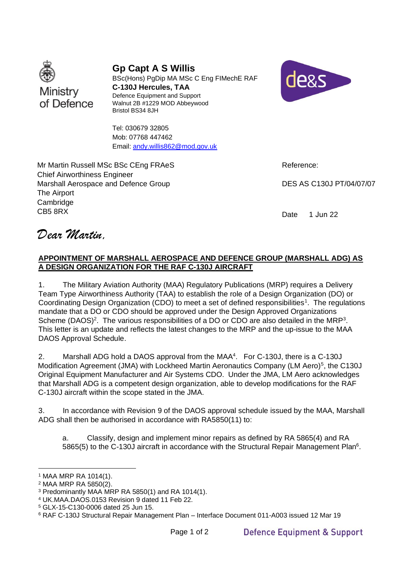

**Gp Capt A S Willis**

BSc(Hons) PgDip MA MSc C Eng FIMechE RAF **C-130J Hercules, TAA** Defence Equipment and Support Walnut 2B #1229 MOD Abbeywood Bristol BS34 8JH



Tel: 030679 32805 Mob: 07768 447462 Email: andy.willis862@mod.gov.uk

Mr Martin Russell MSc BSc CEng FRAeS Chief Airworthiness Engineer Marshall Aerospace and Defence Group The Airport Cambridge CB5 8RX

Reference:

DES AS C130J PT/04/07/07

Date 1 Jun 22

*Dear Martin,*

## **APPOINTMENT OF MARSHALL AEROSPACE AND DEFENCE GROUP (MARSHALL ADG) AS A DESIGN ORGANIZATION FOR THE RAF C-130J AIRCRAFT**

1. The Military Aviation Authority (MAA) Regulatory Publications (MRP) requires a Delivery Team Type Airworthiness Authority (TAA) to establish the role of a Design Organization (DO) or Coordinating Design Organization (CDO) to meet a set of defined responsibilities<sup>1</sup>. The regulations mandate that a DO or CDO should be approved under the Design Approved Organizations Scheme (DAOS)<sup>2</sup>. The various responsibilities of a DO or CDO are also detailed in the MRP<sup>3</sup>. This letter is an update and reflects the latest changes to the MRP and the up-issue to the MAA DAOS Approval Schedule.

2. Marshall ADG hold a DAOS approval from the MAA<sup>4</sup>. For C-130J, there is a C-130J Modification Agreement (JMA) with Lockheed Martin Aeronautics Company (LM Aero)<sup>5</sup>, the C130J Original Equipment Manufacturer and Air Systems CDO. Under the JMA, LM Aero acknowledges that Marshall ADG is a competent design organization, able to develop modifications for the RAF C-130J aircraft within the scope stated in the JMA.

3. In accordance with Revision 9 of the DAOS approval schedule issued by the MAA, Marshall ADG shall then be authorised in accordance with RA5850(11) to:

a. Classify, design and implement minor repairs as defined by RA 5865(4) and RA 5865(5) to the C-130J aircraft in accordance with the Structural Repair Management Plan<sup>6</sup>.

<sup>1</sup> MAA MRP RA 1014(1).

<sup>2</sup> MAA MRP RA 5850(2).

<sup>3</sup> Predominantly MAA MRP RA 5850(1) and RA 1014(1).

<sup>4</sup> UK.MAA.DAOS.0153 Revision 9 dated 11 Feb 22.

<sup>5</sup> GLX-15-C130-0006 dated 25 Jun 15.

<sup>6</sup> RAF C-130J Structural Repair Management Plan – Interface Document 011-A003 issued 12 Mar 19